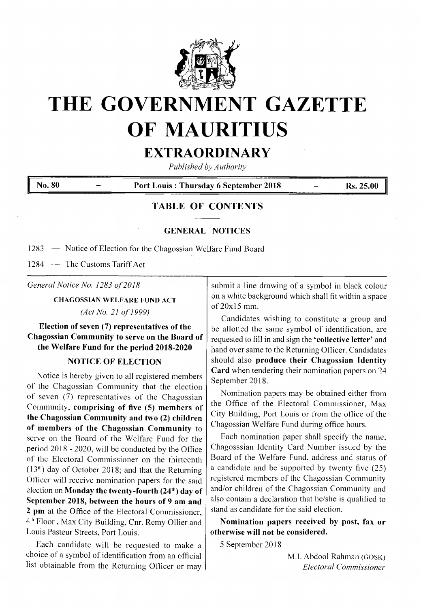

# **THE GOVERNMENT GAZETTE OF MAURITIUS**

# **EXTRAORDINARY**

*Published by Authority*

**No.** 80 *Port* **Louis : Thursday 6 September 2018** *Post 25.00* 

# **TABLE OF CONTENTS**

## **GENERAL NOTICES**

1283 — Notice of Election for the Chagossian Welfare Fund Board

1284 — The Customs Tariff Act

*General Notice No. 1283 of2018*

**CHAGOSSIAN WELFARE FUND ACT**

*(Act No. <sup>21</sup> of1999)*

# **Election ofseven (7) representatives ofthe Chagossian Community to serve on the Board of the Welfare Fund for the period 2018-2020**

## **NOTICE OF ELECTION**

Notice is hereby given to all registered members of the Chagossian Community that the election of seven (7) representatives of the Chagossian Community, **comprising of five (5) members of the Chagossian Community and two (2) children of members of the Chagossian Community** to serve on the Board of the Welfare Fund for the period 2018 - 2020, will be conducted by the Office of the Electoral Commissioner on the thirteenth  $(13<sup>th</sup>)$  day of October 2018; and that the Returning Officer will receive nomination papers for the said election on **Monday the twenty-fourth (24,h) day of September 2018, between the hours of 9 am and 2 pm** at the Office of the Electoral Commissioner, 4th Floor , Max City Building, Cnr. Remy Ollier and Louis Pasteur Streets, Port Louis.

Each candidate will be requested to make a choice of a symbol of identification from an official list obtainable from the Returning Officer or may

submit a line drawing of a symbol in black colour on a white background which shall fit within a space of 20x15 mm.

Candidates wishing to constitute a group and be allotted the same symbol of identification, are requested to fill in and sign the **'collective letter'** and hand over same to the Returning Officer. Candidates should also **produce their Chagossian Identity Card** when tendering their nomination papers on 24 September 2018.

Nomination papers may be obtained either from the Office of the Electoral Commissioner, Max City Building, Port Louis or from the office of the Chagossian Welfare Fund during office hours.

Each nomination paper shall specify the name, Chagosssian Identity Card Number issued by the Board of the Welfare Fund, address and status of a candidate and be supported by twenty five (25) registered members of the Chagossian Community and/or children of the Chagossian Community and also contain a declaration that he/she is qualified to stand as candidate for the said election.

**Nomination papers received by post, fax or otherwise will not be considered.**

5 September 2018

M.I. Abdool Rahman (GOSK) *Electoral Commissioner*